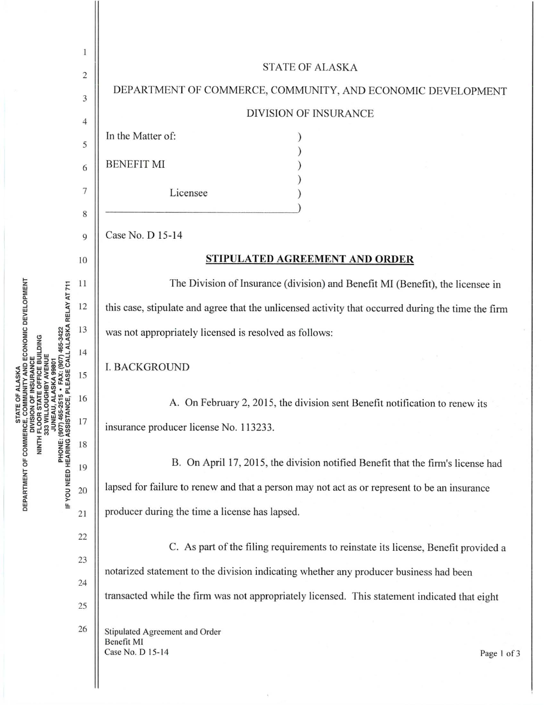|                                     | 1              |                                                                                                    |  |  |  |
|-------------------------------------|----------------|----------------------------------------------------------------------------------------------------|--|--|--|
|                                     | $\overline{c}$ | <b>STATE OF ALASKA</b>                                                                             |  |  |  |
|                                     | 3              | DEPARTMENT OF COMMERCE, COMMUNITY, AND ECONOMIC DEVELOPMENT                                        |  |  |  |
|                                     | 4              | <b>DIVISION OF INSURANCE</b>                                                                       |  |  |  |
|                                     | 5              | In the Matter of:                                                                                  |  |  |  |
|                                     | 6              | <b>BENEFIT MI</b>                                                                                  |  |  |  |
|                                     |                |                                                                                                    |  |  |  |
|                                     | 7              | Licensee                                                                                           |  |  |  |
|                                     | 8              | Case No. D 15-14                                                                                   |  |  |  |
|                                     | 9              |                                                                                                    |  |  |  |
|                                     | 10             | STIPULATED AGREEMENT AND ORDER                                                                     |  |  |  |
|                                     | 11             | The Division of Insurance (division) and Benefit MI (Benefit), the licensee in                     |  |  |  |
|                                     | 12             | this case, stipulate and agree that the unlicensed activity that occurred during the time the firm |  |  |  |
|                                     | 13             | was not appropriately licensed is resolved as follows:                                             |  |  |  |
| CE, PLEASE CALL ALASKA RELAY AT 711 | 14             | <b>I. BACKGROUND</b>                                                                               |  |  |  |
|                                     | 15             |                                                                                                    |  |  |  |
|                                     | 16             | A. On February 2, 2015, the division sent Benefit notification to renew its                        |  |  |  |
| IF YOU NEED HEARING ASSISTAN        | 17             | insurance producer license No. 113233.                                                             |  |  |  |
|                                     | 18             |                                                                                                    |  |  |  |
|                                     | 19             | B. On April 17, 2015, the division notified Benefit that the firm's license had                    |  |  |  |
|                                     | 20             | lapsed for failure to renew and that a person may not act as or represent to be an insurance       |  |  |  |
|                                     | 21             | producer during the time a license has lapsed.                                                     |  |  |  |
|                                     | 22             |                                                                                                    |  |  |  |
|                                     | 23             | C. As part of the filing requirements to reinstate its license, Benefit provided a                 |  |  |  |
|                                     | 24             | notarized statement to the division indicating whether any producer business had been              |  |  |  |
|                                     | 25             | transacted while the firm was not appropriately licensed. This statement indicated that eight      |  |  |  |
|                                     | 26             | Stipulated Agreement and Order                                                                     |  |  |  |
|                                     |                | Benefit MI<br>Case No. D 15-14<br>Page 1 of 3                                                      |  |  |  |
|                                     |                |                                                                                                    |  |  |  |
|                                     |                |                                                                                                    |  |  |  |

 $\tilde{\mathbf{S}}$ 

**STATE OF ALASKA ECONOMIC DEVELOPMENT<br>DEPARTMENT OF COMMERCE, COMMUNITY AND ECONOMIC DEVELOPMENT<br>NINTH FLOOR STATE OF FICE BUILDING<br>NINTH FLOOR STATE OF FIGE BUILDING<br>JUNEAU, ALASKA 99801<br>PHONE: (907) 465-2515 • FAX: (907)**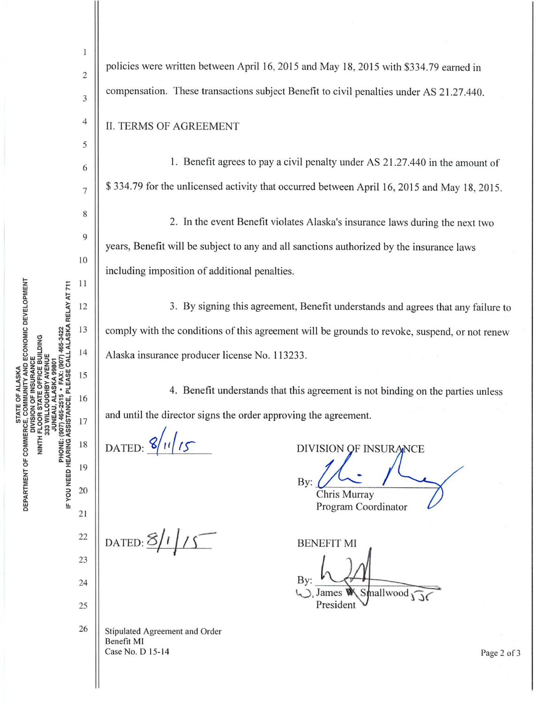1 policies were written between April 16, 2015 and May 18, 2015 with \$334.79 earned in  $\overline{c}$ compensation. These transactions subject Benefit to civil penalties under AS 21.27.440. 3  $\overline{4}$ **II. TERMS OF AGREEMENT** 5 1. Benefit agrees to pay a civil penalty under AS 21.27.440 in the amount of 6 \$334.79 for the unlicensed activity that occurred between April 16, 2015 and May 18, 2015.  $\overline{7}$ 8 2. In the event Benefit violates Alaska's insurance laws during the next two 9 years, Benefit will be subject to any and all sanctions authorized by the insurance laws 10 including imposition of additional penalties.  $11$ 3. By signing this agreement, Benefit understands and agrees that any failure to 12 13 comply with the conditions of this agreement will be grounds to revoke, suspend, or not renew  $14$ Alaska insurance producer license No. 113233. 15 4. Benefit understands that this agreement is not binding on the parties unless 16 and until the director signs the order approving the agreement. 17 DATED:  $8/11/15$ 18 DIVISION OF INSURANCE 19 By: 20 Chris Murray Program Coordinator 21 DATED:  $8/1/5$ 22 **BENEFIT MI** 23 By: 24 Smallwood James President 25 26 Stipulated Agreement and Order Benefit MI Case No. D 15-14